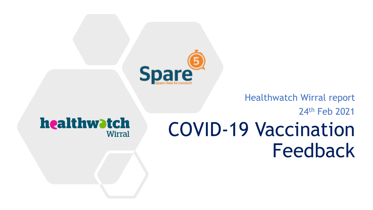

#### Healthwatch Wirral report

#### 24th Feb 2021

#### healthwatch **Wirral**

### COVID-19 Vaccination Feedback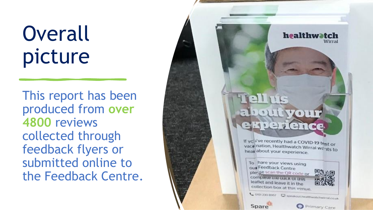## **Overall** picture

This report has been produced from **over 4800** reviews collected through feedback flyers or submitted online to the Feedback Centre.

# ekperience

If you've recently had a COVID-19 test or vace nation, Healthwatch Wirral we ats to heat about your experience.

To hare your views using our Feedback Centre pler se scan the QR code or complete the back of this leaflet and leave it in the collection box at this venue.



**Spare** 

Primary Care

healthwatch

Wirral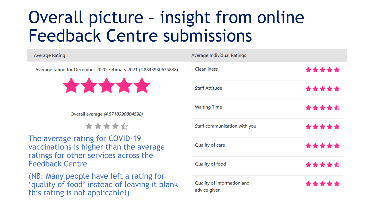### Overall picture – insight from online Feedback Centre submissions

| Average Rating                    |                                                                                                                                               |
|-----------------------------------|-----------------------------------------------------------------------------------------------------------------------------------------------|
|                                   | Average rating for December 2020-February 2021 (4.8843930635838)<br>*****                                                                     |
| Overall average (4.5718390804598) |                                                                                                                                               |
|                                   | *****                                                                                                                                         |
|                                   | The average rating for COVID-19<br>vaccinations is higher than the average<br>ratings for other services across the<br><b>Feedback Centre</b> |
|                                   | (NB: Many people have left a rating for<br>'quality of food' instead of leaving it blank -<br>this rating is not applicable!)                 |

| Average Individual Ratings                 |       |  |
|--------------------------------------------|-------|--|
| Cleanliness                                | ***** |  |
| <b>Staff Attitude</b>                      | ***** |  |
| <b>Waiting Time</b>                        | ***** |  |
| Staff communication with you               | ***** |  |
| Quality of care                            | ***** |  |
| Quality of food                            | ***** |  |
| Quality of information and<br>advice given | ***** |  |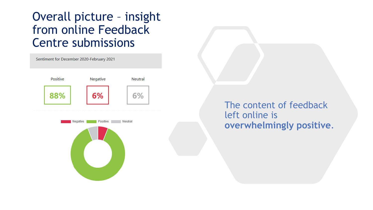#### Overall picture – insight from online Feedback Centre submissions



#### The content of feedback left online is **overwhelmingly positive**.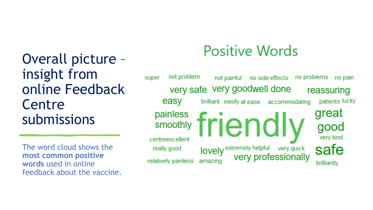Overall picture – insight from online Feedback **Centre** submissions

The word cloud shows the **most common positive words** used in online feedback about the vaccine.

### **Positive Words**

not problem no problems no pain super not painful no side effects very safe very goodwell done reassuring easy patients lucky brilliant easily at ease accommodating great painless friendly smoothly good very kind centreexcellent safe **lovely** extremely helpful very quick<br>
very professionally really good amazing relatively painless brilliantly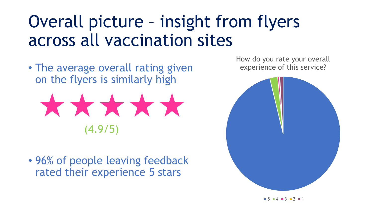### Overall picture – insight from flyers across all vaccination sites

• The average overall rating given on the flyers is similarly high



• 96% of people leaving feedback rated their experience 5 stars

How do you rate your overall experience of this service?



 $\blacksquare$  5  $\blacksquare$  4  $\blacksquare$  3  $\blacksquare$  2  $\blacksquare$  1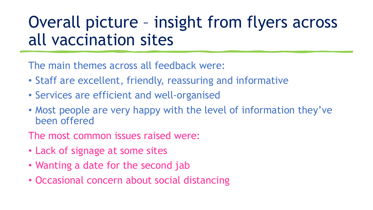### Overall picture – insight from flyers across all vaccination sites

The main themes across all feedback were:

- Staff are excellent, friendly, reassuring and informative
- Services are efficient and well-organised
- Most people are very happy with the level of information they've been offered
- The most common issues raised were:
- Lack of signage at some sites
- Wanting a date for the second jab
- Occasional concern about social distancing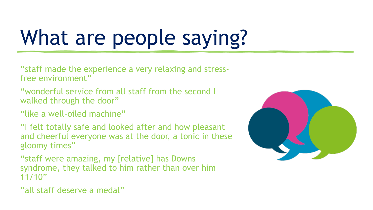# What are people saying?

"staff made the experience a very relaxing and stressfree environment"

"wonderful service from all staff from the second I walked through the door"

"like a well-oiled machine"

"I felt totally safe and looked after and how pleasant and cheerful everyone was at the door, a tonic in these gloomy times"

"staff were amazing, my [relative] has Downs syndrome, they talked to him rather than over him 11/10"

"all staff deserve a medal"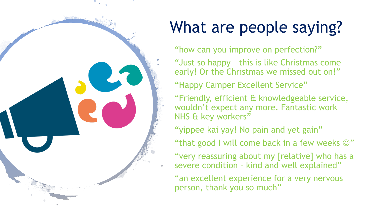

### What are people saying?

"how can you improve on perfection?"

"Just so happy – this is like Christmas come early! Or the Christmas we missed out on!"

"Happy Camper Excellent Service"

"Friendly, efficient & knowledgeable service, wouldn't expect any more. Fantastic work NHS & key workers"

"yippee kai yay! No pain and yet gain"

"that good I will come back in a few weeks  $\odot$ "

"very reassuring about my [relative] who has a severe condition – kind and well explained"

"an excellent experience for a very nervous person, thank you so much"